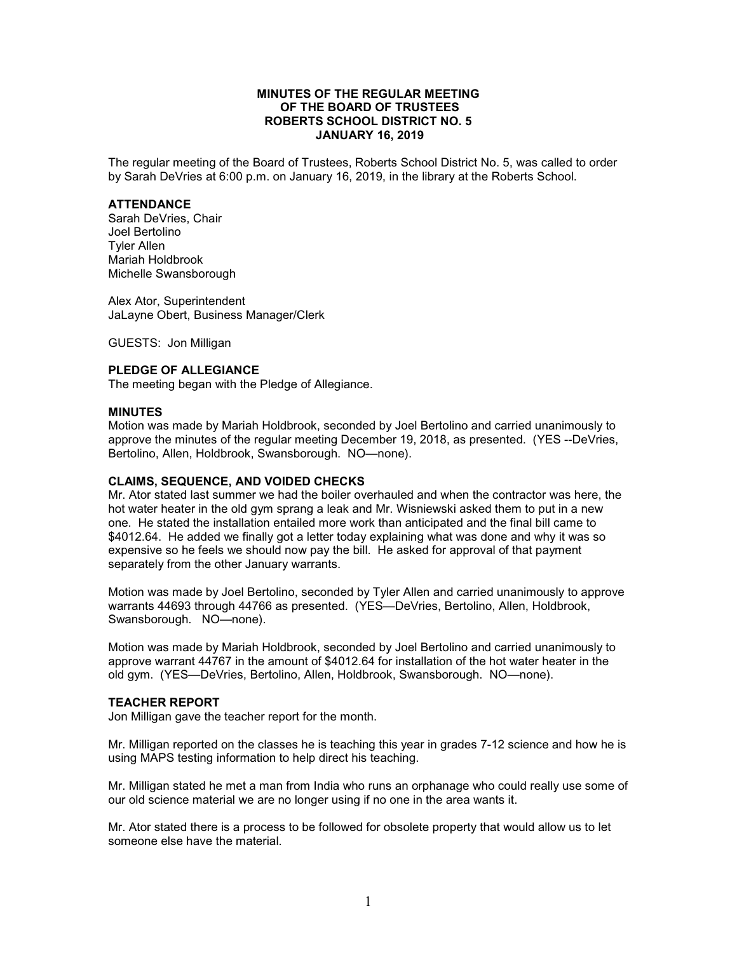## **MINUTES OF THE REGULAR MEETING OF THE BOARD OF TRUSTEES ROBERTS SCHOOL DISTRICT NO. 5 JANUARY 16, 2019**

The regular meeting of the Board of Trustees, Roberts School District No. 5, was called to order by Sarah DeVries at 6:00 p.m. on January 16, 2019, in the library at the Roberts School.

### **ATTENDANCE**

Sarah DeVries, Chair Joel Bertolino Tyler Allen Mariah Holdbrook Michelle Swansborough

Alex Ator, Superintendent JaLayne Obert, Business Manager/Clerk

GUESTS: Jon Milligan

# **PLEDGE OF ALLEGIANCE**

The meeting began with the Pledge of Allegiance.

### **MINUTES**

Motion was made by Mariah Holdbrook, seconded by Joel Bertolino and carried unanimously to approve the minutes of the regular meeting December 19, 2018, as presented. (YES --DeVries, Bertolino, Allen, Holdbrook, Swansborough. NO—none).

#### **CLAIMS, SEQUENCE, AND VOIDED CHECKS**

Mr. Ator stated last summer we had the boiler overhauled and when the contractor was here, the hot water heater in the old gym sprang a leak and Mr. Wisniewski asked them to put in a new one. He stated the installation entailed more work than anticipated and the final bill came to \$4012.64. He added we finally got a letter today explaining what was done and why it was so expensive so he feels we should now pay the bill. He asked for approval of that payment separately from the other January warrants.

Motion was made by Joel Bertolino, seconded by Tyler Allen and carried unanimously to approve warrants 44693 through 44766 as presented. (YES—DeVries, Bertolino, Allen, Holdbrook, Swansborough. NO—none).

Motion was made by Mariah Holdbrook, seconded by Joel Bertolino and carried unanimously to approve warrant 44767 in the amount of \$4012.64 for installation of the hot water heater in the old gym. (YES—DeVries, Bertolino, Allen, Holdbrook, Swansborough. NO—none).

## **TEACHER REPORT**

Jon Milligan gave the teacher report for the month.

Mr. Milligan reported on the classes he is teaching this year in grades 7-12 science and how he is using MAPS testing information to help direct his teaching.

Mr. Milligan stated he met a man from India who runs an orphanage who could really use some of our old science material we are no longer using if no one in the area wants it.

Mr. Ator stated there is a process to be followed for obsolete property that would allow us to let someone else have the material.